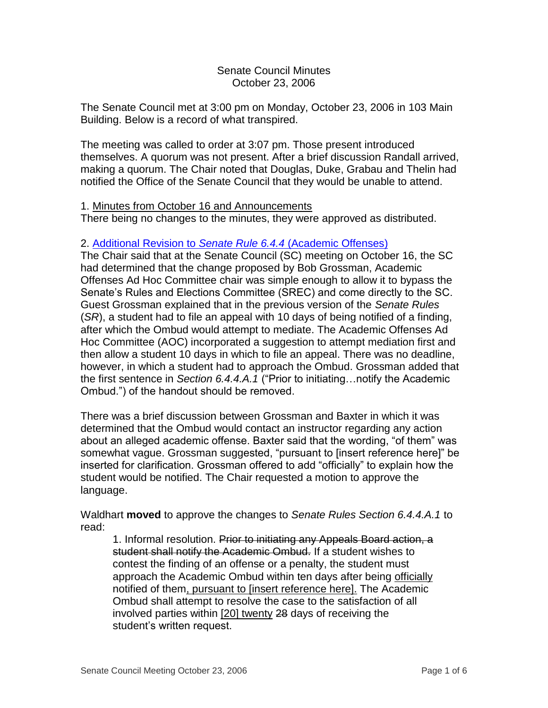## Senate Council Minutes October 23, 2006

The Senate Council met at 3:00 pm on Monday, October 23, 2006 in 103 Main Building. Below is a record of what transpired.

The meeting was called to order at 3:07 pm. Those present introduced themselves. A quorum was not present. After a brief discussion Randall arrived, making a quorum. The Chair noted that Douglas, Duke, Grabau and Thelin had notified the Office of the Senate Council that they would be unable to attend.

## 1. Minutes from October 16 and Announcements

There being no changes to the minutes, they were approved as distributed.

## 2. [Additional Revision to](http://www.uky.edu/USC/New/files/20061023/6-4-4%20deadline%20to%20appeal.pdf) *Senate Rule 6.4.4* (Academic Offenses)

The Chair said that at the Senate Council (SC) meeting on October 16, the SC had determined that the change proposed by Bob Grossman, Academic Offenses Ad Hoc Committee chair was simple enough to allow it to bypass the Senate's Rules and Elections Committee (SREC) and come directly to the SC. Guest Grossman explained that in the previous version of the *Senate Rules* (*SR*), a student had to file an appeal with 10 days of being notified of a finding, after which the Ombud would attempt to mediate. The Academic Offenses Ad Hoc Committee (AOC) incorporated a suggestion to attempt mediation first and then allow a student 10 days in which to file an appeal. There was no deadline, however, in which a student had to approach the Ombud. Grossman added that the first sentence in *Section 6.4.4.A.1* ("Prior to initiating…notify the Academic Ombud.") of the handout should be removed.

There was a brief discussion between Grossman and Baxter in which it was determined that the Ombud would contact an instructor regarding any action about an alleged academic offense. Baxter said that the wording, "of them" was somewhat vague. Grossman suggested, "pursuant to [insert reference here]" be inserted for clarification. Grossman offered to add "officially" to explain how the student would be notified. The Chair requested a motion to approve the language.

Waldhart **moved** to approve the changes to *Senate Rules Section 6.4.4.A.1* to read:

1. Informal resolution. Prior to initiating any Appeals Board action, a student shall notify the Academic Ombud. If a student wishes to contest the finding of an offense or a penalty, the student must approach the Academic Ombud within ten days after being officially notified of them, pursuant to [insert reference here]. The Academic Ombud shall attempt to resolve the case to the satisfaction of all involved parties within [20] twenty 28 days of receiving the student's written request.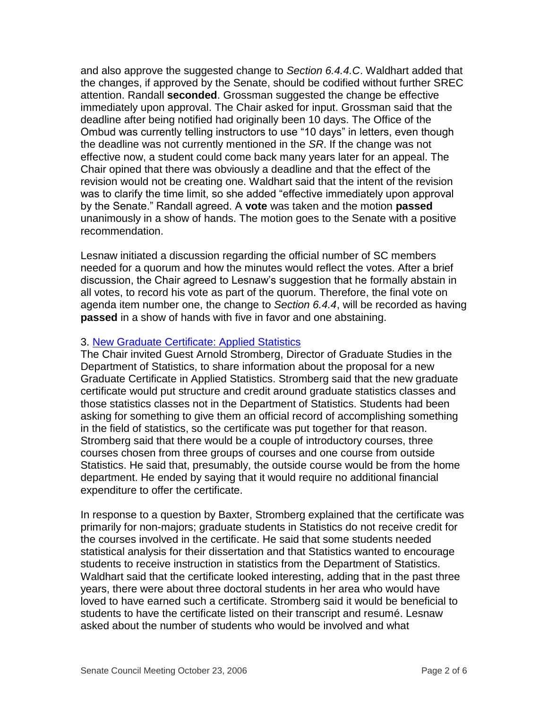and also approve the suggested change to *Section 6.4.4.C*. Waldhart added that the changes, if approved by the Senate, should be codified without further SREC attention. Randall **seconded**. Grossman suggested the change be effective immediately upon approval. The Chair asked for input. Grossman said that the deadline after being notified had originally been 10 days. The Office of the Ombud was currently telling instructors to use "10 days" in letters, even though the deadline was not currently mentioned in the *SR*. If the change was not effective now, a student could come back many years later for an appeal. The Chair opined that there was obviously a deadline and that the effect of the revision would not be creating one. Waldhart said that the intent of the revision was to clarify the time limit, so she added "effective immediately upon approval by the Senate." Randall agreed. A **vote** was taken and the motion **passed** unanimously in a show of hands. The motion goes to the Senate with a positive recommendation.

Lesnaw initiated a discussion regarding the official number of SC members needed for a quorum and how the minutes would reflect the votes. After a brief discussion, the Chair agreed to Lesnaw's suggestion that he formally abstain in all votes, to record his vote as part of the quorum. Therefore, the final vote on agenda item number one, the change to *Section 6.4.4*, will be recorded as having **passed** in a show of hands with five in favor and one abstaining.

## 3. [New Graduate Certificate: Applied Statistics](http://www.uky.edu/USC/New/files/20061023/New%20Graduate%20Certificate%20Applied%20Statistics_Complete.pdf)

The Chair invited Guest Arnold Stromberg, Director of Graduate Studies in the Department of Statistics, to share information about the proposal for a new Graduate Certificate in Applied Statistics. Stromberg said that the new graduate certificate would put structure and credit around graduate statistics classes and those statistics classes not in the Department of Statistics. Students had been asking for something to give them an official record of accomplishing something in the field of statistics, so the certificate was put together for that reason. Stromberg said that there would be a couple of introductory courses, three courses chosen from three groups of courses and one course from outside Statistics. He said that, presumably, the outside course would be from the home department. He ended by saying that it would require no additional financial expenditure to offer the certificate.

In response to a question by Baxter, Stromberg explained that the certificate was primarily for non-majors; graduate students in Statistics do not receive credit for the courses involved in the certificate. He said that some students needed statistical analysis for their dissertation and that Statistics wanted to encourage students to receive instruction in statistics from the Department of Statistics. Waldhart said that the certificate looked interesting, adding that in the past three years, there were about three doctoral students in her area who would have loved to have earned such a certificate. Stromberg said it would be beneficial to students to have the certificate listed on their transcript and resumé. Lesnaw asked about the number of students who would be involved and what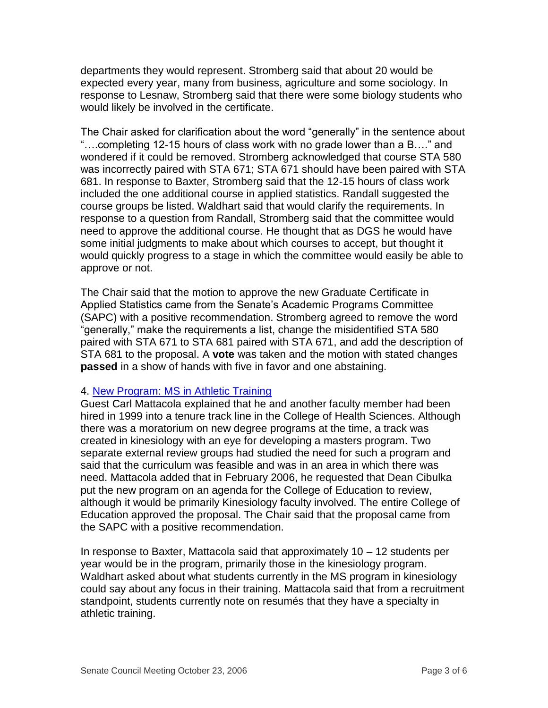departments they would represent. Stromberg said that about 20 would be expected every year, many from business, agriculture and some sociology. In response to Lesnaw, Stromberg said that there were some biology students who would likely be involved in the certificate.

The Chair asked for clarification about the word "generally" in the sentence about "….completing 12-15 hours of class work with no grade lower than a B…." and wondered if it could be removed. Stromberg acknowledged that course STA 580 was incorrectly paired with STA 671; STA 671 should have been paired with STA 681. In response to Baxter, Stromberg said that the 12-15 hours of class work included the one additional course in applied statistics. Randall suggested the course groups be listed. Waldhart said that would clarify the requirements. In response to a question from Randall, Stromberg said that the committee would need to approve the additional course. He thought that as DGS he would have some initial judgments to make about which courses to accept, but thought it would quickly progress to a stage in which the committee would easily be able to approve or not.

The Chair said that the motion to approve the new Graduate Certificate in Applied Statistics came from the Senate's Academic Programs Committee (SAPC) with a positive recommendation. Stromberg agreed to remove the word "generally," make the requirements a list, change the misidentified STA 580 paired with STA 671 to STA 681 paired with STA 671, and add the description of STA 681 to the proposal. A **vote** was taken and the motion with stated changes **passed** in a show of hands with five in favor and one abstaining.

## 4. [New Program: MS in Athletic Training](http://www.uky.edu/USC/New/files/20061023/MS%20Athletic%20Training%20_with%20CVs_Complete.pdf)

Guest Carl Mattacola explained that he and another faculty member had been hired in 1999 into a tenure track line in the College of Health Sciences. Although there was a moratorium on new degree programs at the time, a track was created in kinesiology with an eye for developing a masters program. Two separate external review groups had studied the need for such a program and said that the curriculum was feasible and was in an area in which there was need. Mattacola added that in February 2006, he requested that Dean Cibulka put the new program on an agenda for the College of Education to review, although it would be primarily Kinesiology faculty involved. The entire College of Education approved the proposal. The Chair said that the proposal came from the SAPC with a positive recommendation.

In response to Baxter, Mattacola said that approximately 10 – 12 students per year would be in the program, primarily those in the kinesiology program. Waldhart asked about what students currently in the MS program in kinesiology could say about any focus in their training. Mattacola said that from a recruitment standpoint, students currently note on resumés that they have a specialty in athletic training.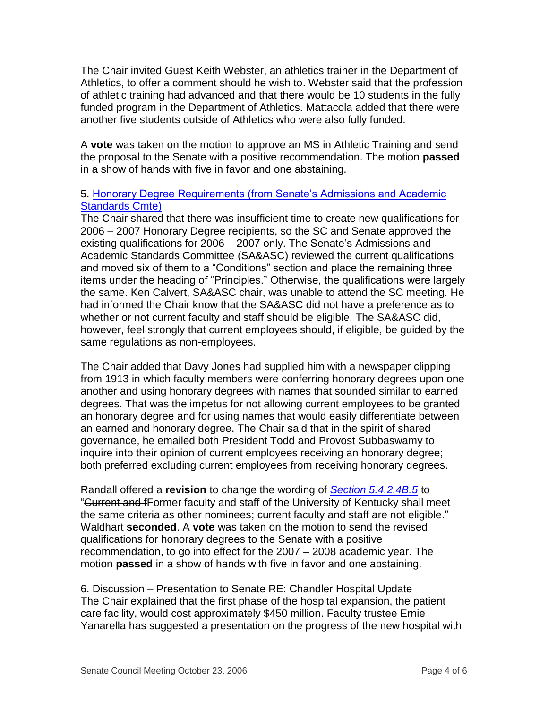The Chair invited Guest Keith Webster, an athletics trainer in the Department of Athletics, to offer a comment should he wish to. Webster said that the profession of athletic training had advanced and that there would be 10 students in the fully funded program in the Department of Athletics. Mattacola added that there were another five students outside of Athletics who were also fully funded.

A **vote** was taken on the motion to approve an MS in Athletic Training and send the proposal to the Senate with a positive recommendation. The motion **passed** in a show of hands with five in favor and one abstaining.

# 5. [Honorary Degree Requirements \(from Senate's Admissions and Academic](http://www.uky.edu/USC/New/files/20061023/A&AS_Honorary%20Degrees_Complete.pdf)  [Standards Cmte\)](http://www.uky.edu/USC/New/files/20061023/A&AS_Honorary%20Degrees_Complete.pdf)

The Chair shared that there was insufficient time to create new qualifications for 2006 – 2007 Honorary Degree recipients, so the SC and Senate approved the existing qualifications for 2006 – 2007 only. The Senate's Admissions and Academic Standards Committee (SA&ASC) reviewed the current qualifications and moved six of them to a "Conditions" section and place the remaining three items under the heading of "Principles." Otherwise, the qualifications were largely the same. Ken Calvert, SA&ASC chair, was unable to attend the SC meeting. He had informed the Chair know that the SA&ASC did not have a preference as to whether or not current faculty and staff should be eligible. The SA&ASC did, however, feel strongly that current employees should, if eligible, be guided by the same regulations as non-employees.

The Chair added that Davy Jones had supplied him with a newspaper clipping from 1913 in which faculty members were conferring honorary degrees upon one another and using honorary degrees with names that sounded similar to earned degrees. That was the impetus for not allowing current employees to be granted an honorary degree and for using names that would easily differentiate between an earned and honorary degree. The Chair said that in the spirit of shared governance, he emailed both President Todd and Provost Subbaswamy to inquire into their opinion of current employees receiving an honorary degree; both preferred excluding current employees from receiving honorary degrees.

Randall offered a **revision** to change the wording of *[Section 5.4.2.4B.5](http://www.uky.edu/USC/New/files/20061023/HonDegCond%20track%20changes.pdf)* to "Current and fFormer faculty and staff of the University of Kentucky shall meet the same criteria as other nominees; current faculty and staff are not eligible." Waldhart **seconded**. A **vote** was taken on the motion to send the revised qualifications for honorary degrees to the Senate with a positive recommendation, to go into effect for the 2007 – 2008 academic year. The motion **passed** in a show of hands with five in favor and one abstaining.

6. Discussion – Presentation to Senate RE: Chandler Hospital Update The Chair explained that the first phase of the hospital expansion, the patient care facility, would cost approximately \$450 million. Faculty trustee Ernie Yanarella has suggested a presentation on the progress of the new hospital with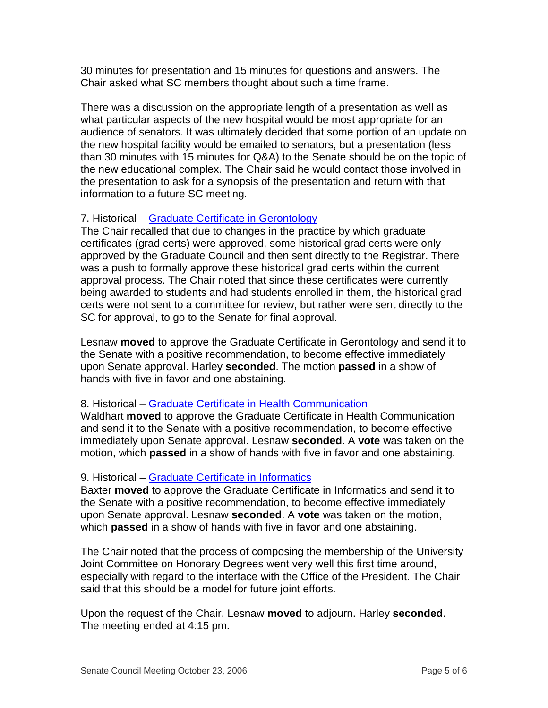30 minutes for presentation and 15 minutes for questions and answers. The Chair asked what SC members thought about such a time frame.

There was a discussion on the appropriate length of a presentation as well as what particular aspects of the new hospital would be most appropriate for an audience of senators. It was ultimately decided that some portion of an update on the new hospital facility would be emailed to senators, but a presentation (less than 30 minutes with 15 minutes for Q&A) to the Senate should be on the topic of the new educational complex. The Chair said he would contact those involved in the presentation to ask for a synopsis of the presentation and return with that information to a future SC meeting.

## 7. Historical – [Graduate Certificate in Gerontology](http://www.uky.edu/USC/New/files/20061023/Gerontology.pdf)

The Chair recalled that due to changes in the practice by which graduate certificates (grad certs) were approved, some historical grad certs were only approved by the Graduate Council and then sent directly to the Registrar. There was a push to formally approve these historical grad certs within the current approval process. The Chair noted that since these certificates were currently being awarded to students and had students enrolled in them, the historical grad certs were not sent to a committee for review, but rather were sent directly to the SC for approval, to go to the Senate for final approval.

Lesnaw **moved** to approve the Graduate Certificate in Gerontology and send it to the Senate with a positive recommendation, to become effective immediately upon Senate approval. Harley **seconded**. The motion **passed** in a show of hands with five in favor and one abstaining.

#### 8. Historical – [Graduate Certificate in Health Communication](http://www.uky.edu/USC/New/files/20061023/Health%20Communication.pdf)

Waldhart **moved** to approve the Graduate Certificate in Health Communication and send it to the Senate with a positive recommendation, to become effective immediately upon Senate approval. Lesnaw **seconded**. A **vote** was taken on the motion, which **passed** in a show of hands with five in favor and one abstaining.

#### 9. Historical – [Graduate Certificate in Informatics](http://www.uky.edu/USC/New/files/20061023/Informatics.pdf)

Baxter **moved** to approve the Graduate Certificate in Informatics and send it to the Senate with a positive recommendation, to become effective immediately upon Senate approval. Lesnaw **seconded**. A **vote** was taken on the motion, which **passed** in a show of hands with five in favor and one abstaining.

The Chair noted that the process of composing the membership of the University Joint Committee on Honorary Degrees went very well this first time around, especially with regard to the interface with the Office of the President. The Chair said that this should be a model for future joint efforts.

Upon the request of the Chair, Lesnaw **moved** to adjourn. Harley **seconded**. The meeting ended at 4:15 pm.